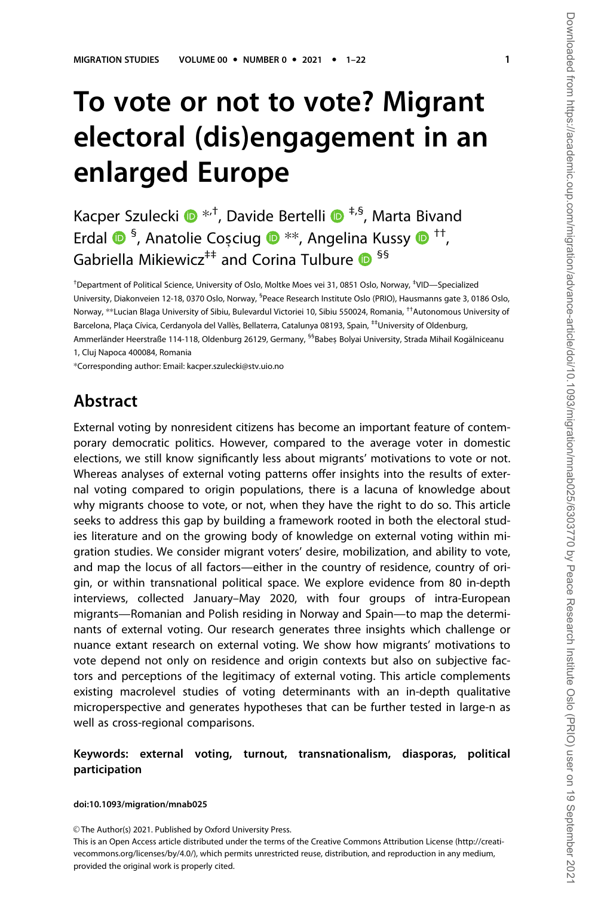# To vote or not to vote? Migrant electoral (dis)engagement in an enlarged Europe

Kacper Szulecki  $\bullet$  \*<sup>+</sup>, Davide Bertelli  $\bullet$  <sup>‡,§</sup>, Marta Bivand Erdal <sup>® §</sup>, Anatolie Coșciug <sup>® \*\*</sup>, Angelina Kussy <sup>® ††</sup>, Gabriella Mikiewicz<sup>‡‡</sup> and Corina Tulbure  $\bullet$ <sup>§§</sup>

† Department of Political Science, University of Oslo, Moltke Moes vei 31, 0851 Oslo, Norway, ‡ VID—Specialized University, Diakonveien 12-18, 0370 Oslo, Norway, <sup>5</sup>Peace Research Institute Oslo (PRIO), Hausmanns gate 3, 0186 Oslo, Norway, \*\*Lucian Blaga University of Sibiu, Bulevardul Victoriei 10, Sibiu 550024, Romania, ††Autonomous University of Barcelona, Placa Cívica, Cerdanyola del Vallès, Bellaterra, Catalunya 08193, Spain, <sup>‡‡</sup>University of Oldenburg,

Ammerländer Heerstraße 114-118, Oldenburg 26129, Germany, <sup>§§</sup>Babeș Bolyai University, Strada Mihail Kogălniceanu 1, Cluj Napoca 400084, Romania

\*Corresponding author: Email: kacper.szulecki@stv.uio.no

### Abstract

External voting by nonresident citizens has become an important feature of contemporary democratic politics. However, compared to the average voter in domestic elections, we still know significantly less about migrants' motivations to vote or not. Whereas analyses of external voting patterns offer insights into the results of external voting compared to origin populations, there is a lacuna of knowledge about why migrants choose to vote, or not, when they have the right to do so. This article seeks to address this gap by building a framework rooted in both the electoral studies literature and on the growing body of knowledge on external voting within migration studies. We consider migrant voters' desire, mobilization, and ability to vote, and map the locus of all factors—either in the country of residence, country of origin, or within transnational political space. We explore evidence from 80 in-depth interviews, collected January–May 2020, with four groups of intra-European migrants—Romanian and Polish residing in Norway and Spain—to map the determinants of external voting. Our research generates three insights which challenge or nuance extant research on external voting. We show how migrants' motivations to vote depend not only on residence and origin contexts but also on subjective factors and perceptions of the legitimacy of external voting. This article complements existing macrolevel studies of voting determinants with an in-depth qualitative microperspective and generates hypotheses that can be further tested in large-n as well as cross-regional comparisons.

#### Keywords: external voting, turnout, transnationalism, diasporas, political participation

#### doi:10.1093/migration/mnab025

This is an Open Access article distributed under the terms of the Creative Commons Attribution License (http://creativecommons.org/licenses/by/4.0/), which permits unrestricted reuse, distribution, and reproduction in any medium, provided the original work is properly cited.

<sup>©</sup> The Author(s) 2021. Published by Oxford University Press.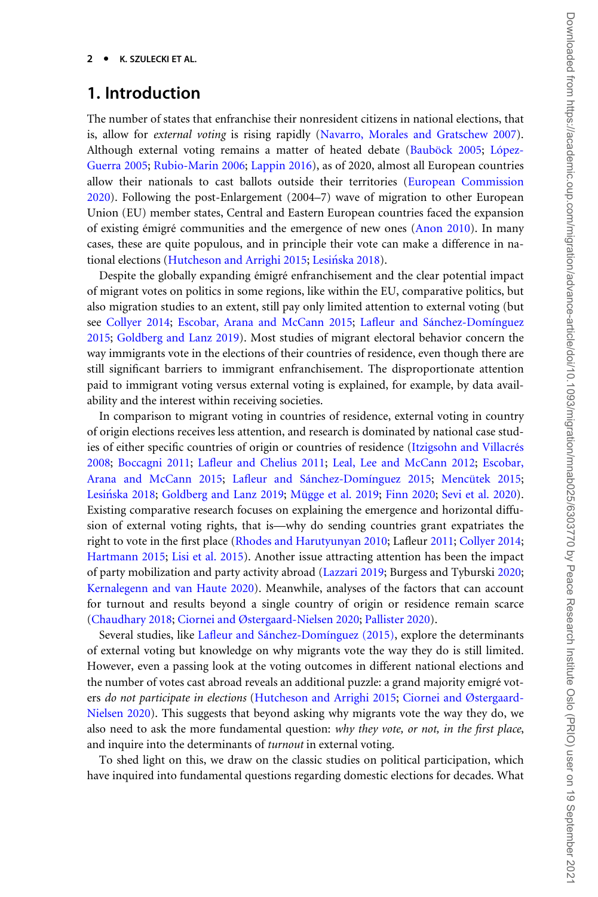#### $2<sup>-1</sup>$ K. SZULECKI ET AL.

### 1. Introduction

The number of states that enfranchise their nonresident citizens in national elections, that is, allow for external voting is rising rapidly [\(Navarro, Morales and Gratschew 2007](#page-20-0)). Although external voting remains a matter of heated debate (Bauböck 2005; López-[Guerra 2005](#page-20-0); [Rubio-Marin 2006](#page-21-0); [Lappin 2016\)](#page-20-0), as of 2020, almost all European countries allow their nationals to cast ballots outside their territories ([European Commission](#page-19-0) [2020\)](#page-19-0). Following the post-Enlargement (2004–7) wave of migration to other European Union (EU) member states, Central and Eastern European countries faced the expansion of existing émigré communities and the emergence of new ones ([Anon 2010](#page-18-0)). In many cases, these are quite populous, and in principle their vote can make a difference in na-tional elections [\(Hutcheson and Arrighi 2015](#page-19-0); Lesińska 2018).

Despite the globally expanding émigré enfranchisement and the clear potential impact of migrant votes on politics in some regions, like within the EU, comparative politics, but also migration studies to an extent, still pay only limited attention to external voting (but see [Collyer 2014;](#page-19-0) [Escobar, Arana and McCann 2015;](#page-19-0) Lafleur and Sánchez-Domínguez [2015;](#page-20-0) [Goldberg and Lanz 2019](#page-19-0)). Most studies of migrant electoral behavior concern the way immigrants vote in the elections of their countries of residence, even though there are still significant barriers to immigrant enfranchisement. The disproportionate attention paid to immigrant voting versus external voting is explained, for example, by data availability and the interest within receiving societies.

In comparison to migrant voting in countries of residence, external voting in country of origin elections receives less attention, and research is dominated by national case studies of either specific countries of origin or countries of residence (Itzigsohn and Villacrés [2008;](#page-19-0) [Boccagni 2011;](#page-18-0) [Lafleur and Chelius 2011;](#page-20-0) [Leal, Lee and McCann 2012;](#page-20-0) [Escobar,](#page-19-0) [Arana and McCann 2015;](#page-19-0) Lafleur and Sánchez-Domínguez 2015; Mencütek 2015; Lesińska 2018; [Goldberg and Lanz 2019](#page-19-0); Mügge et al. 2019; [Finn 2020](#page-19-0); [Sevi et al. 2020](#page-21-0)). Existing comparative research focuses on explaining the emergence and horizontal diffusion of external voting rights, that is—why do sending countries grant expatriates the right to vote in the first place [\(Rhodes and Harutyunyan 2010;](#page-21-0) Lafleur [2011;](#page-20-0) [Collyer 2014;](#page-19-0) [Hartmann 2015](#page-19-0); [Lisi et al. 2015](#page-20-0)). Another issue attracting attention has been the impact of party mobilization and party activity abroad [\(Lazzari 2019](#page-20-0); Burgess and Tyburski [2020;](#page-19-0) [Kernalegenn and van Haute 2020\)](#page-20-0). Meanwhile, analyses of the factors that can account for turnout and results beyond a single country of origin or residence remain scarce ([Chaudhary 2018](#page-19-0); [Ciornei and Østergaard-Nielsen 2020;](#page-19-0) [Pallister 2020](#page-21-0)).

Several studies, like Lafleur and Sánchez-Domínguez (2015), explore the determinants of external voting but knowledge on why migrants vote the way they do is still limited. However, even a passing look at the voting outcomes in different national elections and the number of votes cast abroad reveals an additional puzzle: a grand majority emigré voters do not participate in elections [\(Hutcheson and Arrighi 2015](#page-19-0); [Ciornei and Østergaard-](#page-19-0)[Nielsen 2020](#page-19-0)). This suggests that beyond asking why migrants vote the way they do, we also need to ask the more fundamental question: why they vote, or not, in the first place, and inquire into the determinants of *turnout* in external voting.

To shed light on this, we draw on the classic studies on political participation, which have inquired into fundamental questions regarding domestic elections for decades. What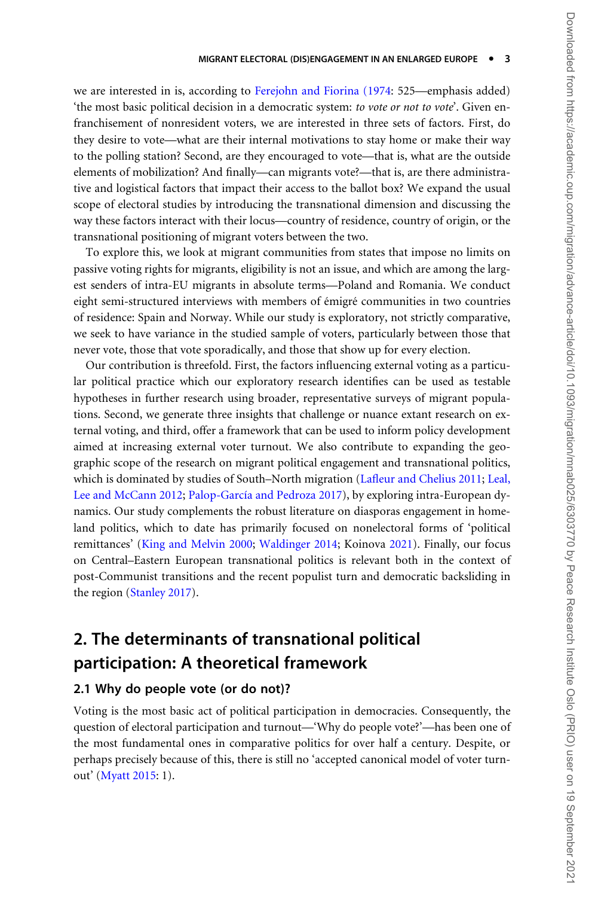we are interested in is, according to [Ferejohn and Fiorina \(1974](#page-19-0): 525—emphasis added) 'the most basic political decision in a democratic system: to vote or not to vote'. Given enfranchisement of nonresident voters, we are interested in three sets of factors. First, do they desire to vote—what are their internal motivations to stay home or make their way to the polling station? Second, are they encouraged to vote—that is, what are the outside elements of mobilization? And finally—can migrants vote?—that is, are there administrative and logistical factors that impact their access to the ballot box? We expand the usual scope of electoral studies by introducing the transnational dimension and discussing the way these factors interact with their locus—country of residence, country of origin, or the transnational positioning of migrant voters between the two.

To explore this, we look at migrant communities from states that impose no limits on passive voting rights for migrants, eligibility is not an issue, and which are among the largest senders of intra-EU migrants in absolute terms—Poland and Romania. We conduct eight semi-structured interviews with members of émigré communities in two countries of residence: Spain and Norway. While our study is exploratory, not strictly comparative, we seek to have variance in the studied sample of voters, particularly between those that never vote, those that vote sporadically, and those that show up for every election.

Our contribution is threefold. First, the factors influencing external voting as a particular political practice which our exploratory research identifies can be used as testable hypotheses in further research using broader, representative surveys of migrant populations. Second, we generate three insights that challenge or nuance extant research on external voting, and third, offer a framework that can be used to inform policy development aimed at increasing external voter turnout. We also contribute to expanding the geographic scope of the research on migrant political engagement and transnational politics, which is dominated by studies of South–North migration ([Lafleur and Chelius 2011;](#page-20-0) [Leal,](#page-20-0) [Lee and McCann 2012](#page-20-0); Palop-García and Pedroza 2017), by exploring intra-European dynamics. Our study complements the robust literature on diasporas engagement in homeland politics, which to date has primarily focused on nonelectoral forms of 'political remittances' ([King and Melvin 2000;](#page-20-0) [Waldinger 2014;](#page-21-0) Koinova [2021](#page-20-0)). Finally, our focus on Central–Eastern European transnational politics is relevant both in the context of post-Communist transitions and the recent populist turn and democratic backsliding in the region [\(Stanley 2017\)](#page-21-0).

## 2. The determinants of transnational political participation: A theoretical framework

### 2.1 Why do people vote (or do not)?

Voting is the most basic act of political participation in democracies. Consequently, the question of electoral participation and turnout—'Why do people vote?'—has been one of the most fundamental ones in comparative politics for over half a century. Despite, or perhaps precisely because of this, there is still no 'accepted canonical model of voter turnout' [\(Myatt 2015](#page-20-0): 1).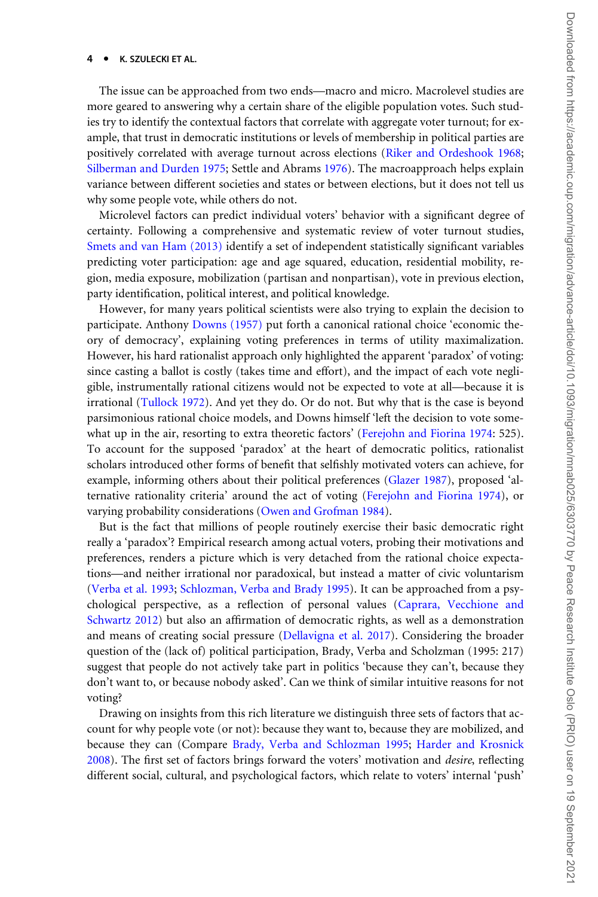#### $\overline{4}$ K. SZULECKI ET AL.

The issue can be approached from two ends—macro and micro. Macrolevel studies are more geared to answering why a certain share of the eligible population votes. Such studies try to identify the contextual factors that correlate with aggregate voter turnout; for example, that trust in democratic institutions or levels of membership in political parties are positively correlated with average turnout across elections [\(Riker and Ordeshook 1968;](#page-21-0) [Silberman and Durden 1975](#page-21-0); Settle and Abrams [1976](#page-21-0)). The macroapproach helps explain variance between different societies and states or between elections, but it does not tell us why some people vote, while others do not.

Microlevel factors can predict individual voters' behavior with a significant degree of certainty. Following a comprehensive and systematic review of voter turnout studies, [Smets and van Ham \(2013\)](#page-21-0) identify a set of independent statistically significant variables predicting voter participation: age and age squared, education, residential mobility, region, media exposure, mobilization (partisan and nonpartisan), vote in previous election, party identification, political interest, and political knowledge.

However, for many years political scientists were also trying to explain the decision to participate. Anthony [Downs \(1957\)](#page-19-0) put forth a canonical rational choice 'economic theory of democracy', explaining voting preferences in terms of utility maximalization. However, his hard rationalist approach only highlighted the apparent 'paradox' of voting: since casting a ballot is costly (takes time and effort), and the impact of each vote negligible, instrumentally rational citizens would not be expected to vote at all—because it is irrational [\(Tullock 1972\)](#page-21-0). And yet they do. Or do not. But why that is the case is beyond parsimonious rational choice models, and Downs himself 'left the decision to vote somewhat up in the air, resorting to extra theoretic factors' ([Ferejohn and Fiorina 1974:](#page-19-0) 525). To account for the supposed 'paradox' at the heart of democratic politics, rationalist scholars introduced other forms of benefit that selfishly motivated voters can achieve, for example, informing others about their political preferences [\(Glazer 1987\)](#page-19-0), proposed 'alternative rationality criteria' around the act of voting [\(Ferejohn and Fiorina 1974\)](#page-19-0), or varying probability considerations [\(Owen and Grofman 1984\)](#page-21-0).

But is the fact that millions of people routinely exercise their basic democratic right really a 'paradox'? Empirical research among actual voters, probing their motivations and preferences, renders a picture which is very detached from the rational choice expectations—and neither irrational nor paradoxical, but instead a matter of civic voluntarism ([Verba et al. 1993;](#page-21-0) [Schlozman, Verba and Brady 1995\)](#page-21-0). It can be approached from a psychological perspective, as a reflection of personal values ([Caprara, Vecchione and](#page-19-0) [Schwartz 2012](#page-19-0)) but also an affirmation of democratic rights, as well as a demonstration and means of creating social pressure [\(Dellavigna et al. 2017](#page-19-0)). Considering the broader question of the (lack of) political participation, Brady, Verba and Scholzman (1995: 217) suggest that people do not actively take part in politics 'because they can't, because they don't want to, or because nobody asked'. Can we think of similar intuitive reasons for not voting?

Drawing on insights from this rich literature we distinguish three sets of factors that account for why people vote (or not): because they want to, because they are mobilized, and because they can (Compare [Brady, Verba and Schlozman 1995](#page-19-0); [Harder and Krosnick](#page-19-0) [2008\)](#page-19-0). The first set of factors brings forward the voters' motivation and desire, reflecting different social, cultural, and psychological factors, which relate to voters' internal 'push'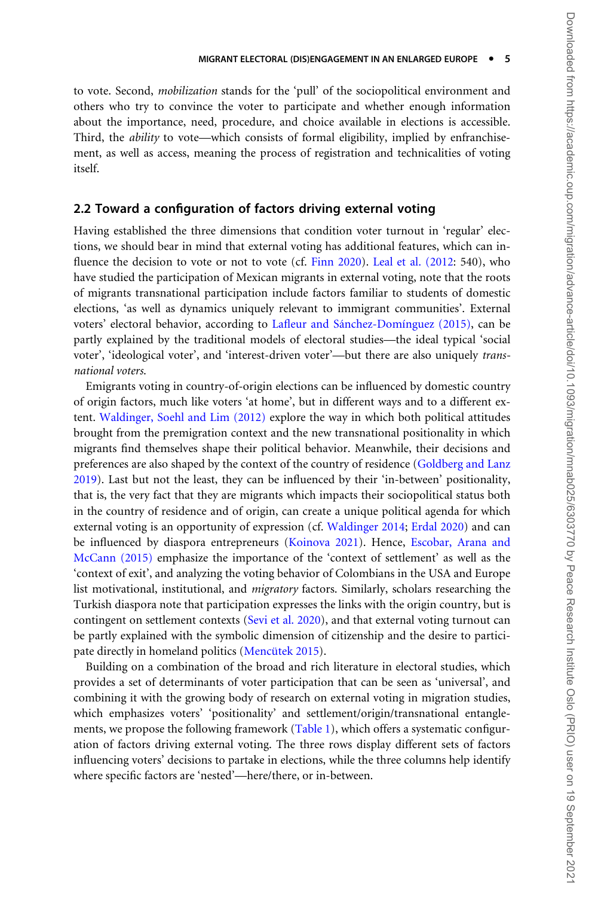to vote. Second, mobilization stands for the 'pull' of the sociopolitical environment and others who try to convince the voter to participate and whether enough information about the importance, need, procedure, and choice available in elections is accessible. Third, the ability to vote—which consists of formal eligibility, implied by enfranchisement, as well as access, meaning the process of registration and technicalities of voting itself.

#### 2.2 Toward a configuration of factors driving external voting

Having established the three dimensions that condition voter turnout in 'regular' elections, we should bear in mind that external voting has additional features, which can in-fluence the decision to vote or not to vote (cf. [Finn 2020](#page-19-0)). [Leal et al. \(2012:](#page-20-0) 540), who have studied the participation of Mexican migrants in external voting, note that the roots of migrants transnational participation include factors familiar to students of domestic elections, 'as well as dynamics uniquely relevant to immigrant communities'. External voters' electoral behavior, according to Lafleur and Sánchez-Domínguez (2015), can be partly explained by the traditional models of electoral studies—the ideal typical 'social voter', 'ideological voter', and 'interest-driven voter'—but there are also uniquely transnational voters.

Emigrants voting in country-of-origin elections can be influenced by domestic country of origin factors, much like voters 'at home', but in different ways and to a different extent. [Waldinger, Soehl and Lim \(2012\)](#page-21-0) explore the way in which both political attitudes brought from the premigration context and the new transnational positionality in which migrants find themselves shape their political behavior. Meanwhile, their decisions and preferences are also shaped by the context of the country of residence [\(Goldberg and Lanz](#page-19-0) [2019\)](#page-19-0). Last but not the least, they can be influenced by their 'in-between' positionality, that is, the very fact that they are migrants which impacts their sociopolitical status both in the country of residence and of origin, can create a unique political agenda for which external voting is an opportunity of expression (cf. [Waldinger 2014;](#page-21-0) [Erdal 2020](#page-19-0)) and can be influenced by diaspora entrepreneurs ([Koinova 2021](#page-20-0)). Hence, [Escobar, Arana and](#page-19-0) [McCann \(2015\)](#page-19-0) emphasize the importance of the 'context of settlement' as well as the 'context of exit', and analyzing the voting behavior of Colombians in the USA and Europe list motivational, institutional, and migratory factors. Similarly, scholars researching the Turkish diaspora note that participation expresses the links with the origin country, but is contingent on settlement contexts [\(Sevi et al. 2020](#page-21-0)), and that external voting turnout can be partly explained with the symbolic dimension of citizenship and the desire to participate directly in homeland politics (Mencütek 2015).

Building on a combination of the broad and rich literature in electoral studies, which provides a set of determinants of voter participation that can be seen as 'universal', and combining it with the growing body of research on external voting in migration studies, which emphasizes voters' 'positionality' and settlement/origin/transnational entangle-ments, we propose the following framework [\(Table 1\)](#page-5-0), which offers a systematic configuration of factors driving external voting. The three rows display different sets of factors influencing voters' decisions to partake in elections, while the three columns help identify where specific factors are 'nested'—here/there, or in-between.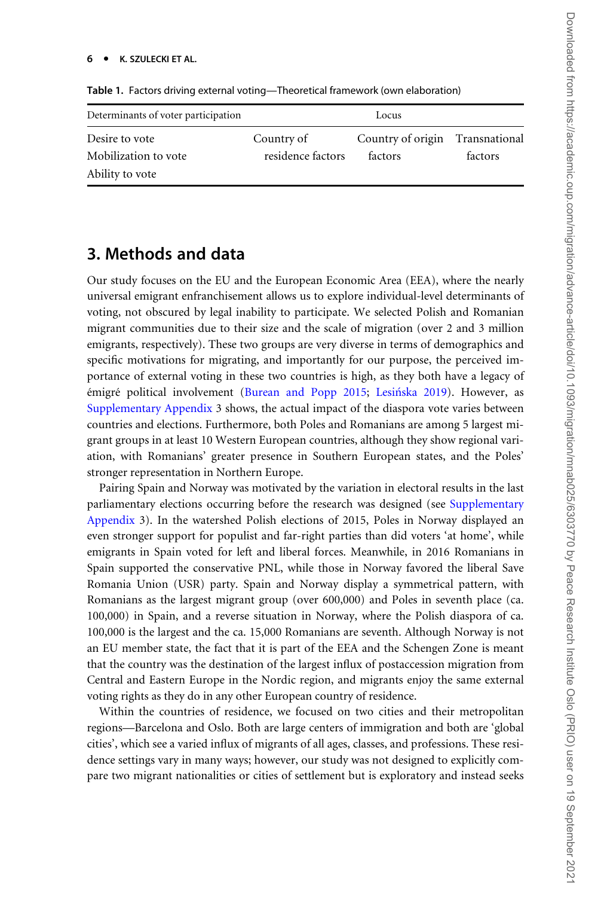| Determinants of voter participation     | Locus             |                                 |         |
|-----------------------------------------|-------------------|---------------------------------|---------|
| Desire to vote                          | Country of        | Country of origin Transnational |         |
| Mobilization to vote<br>Ability to vote | residence factors | factors                         | factors |

<span id="page-5-0"></span>Table 1. Factors driving external voting—Theoretical framework (own elaboration)

### 3. Methods and data

Our study focuses on the EU and the European Economic Area (EEA), where the nearly universal emigrant enfranchisement allows us to explore individual-level determinants of voting, not obscured by legal inability to participate. We selected Polish and Romanian migrant communities due to their size and the scale of migration (over 2 and 3 million emigrants, respectively). These two groups are very diverse in terms of demographics and specific motivations for migrating, and importantly for our purpose, the perceived importance of external voting in these two countries is high, as they both have a legacy of émigré political involvement [\(Burean and Popp 2015](#page-19-0); Lesińska 2019). However, as [Supplementary Appendix](https://academic.oup.com/migration/article-lookup/doi/10.1093/migration/mnab025#supplementary-data) 3 shows, the actual impact of the diaspora vote varies between countries and elections. Furthermore, both Poles and Romanians are among 5 largest migrant groups in at least 10 Western European countries, although they show regional variation, with Romanians' greater presence in Southern European states, and the Poles' stronger representation in Northern Europe.

Pairing Spain and Norway was motivated by the variation in electoral results in the last parliamentary elections occurring before the research was designed (see [Supplementary](https://academic.oup.com/migration/article-lookup/doi/10.1093/migration/mnab025#supplementary-data) [Appendix](https://academic.oup.com/migration/article-lookup/doi/10.1093/migration/mnab025#supplementary-data) 3). In the watershed Polish elections of 2015, Poles in Norway displayed an even stronger support for populist and far-right parties than did voters 'at home', while emigrants in Spain voted for left and liberal forces. Meanwhile, in 2016 Romanians in Spain supported the conservative PNL, while those in Norway favored the liberal Save Romania Union (USR) party. Spain and Norway display a symmetrical pattern, with Romanians as the largest migrant group (over 600,000) and Poles in seventh place (ca. 100,000) in Spain, and a reverse situation in Norway, where the Polish diaspora of ca. 100,000 is the largest and the ca. 15,000 Romanians are seventh. Although Norway is not an EU member state, the fact that it is part of the EEA and the Schengen Zone is meant that the country was the destination of the largest influx of postaccession migration from Central and Eastern Europe in the Nordic region, and migrants enjoy the same external voting rights as they do in any other European country of residence.

Within the countries of residence, we focused on two cities and their metropolitan regions—Barcelona and Oslo. Both are large centers of immigration and both are 'global cities', which see a varied influx of migrants of all ages, classes, and professions. These residence settings vary in many ways; however, our study was not designed to explicitly compare two migrant nationalities or cities of settlement but is exploratory and instead seeks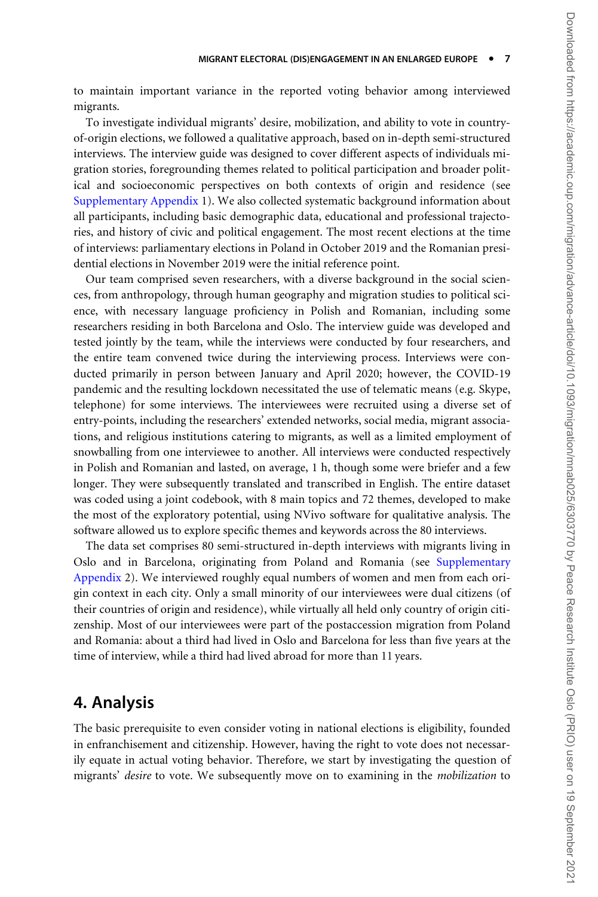to maintain important variance in the reported voting behavior among interviewed migrants.

To investigate individual migrants' desire, mobilization, and ability to vote in countryof-origin elections, we followed a qualitative approach, based on in-depth semi-structured interviews. The interview guide was designed to cover different aspects of individuals migration stories, foregrounding themes related to political participation and broader political and socioeconomic perspectives on both contexts of origin and residence (see [Supplementary Appendix](https://academic.oup.com/migration/article-lookup/doi/10.1093/migration/mnab025#supplementary-data) 1). We also collected systematic background information about all participants, including basic demographic data, educational and professional trajectories, and history of civic and political engagement. The most recent elections at the time of interviews: parliamentary elections in Poland in October 2019 and the Romanian presidential elections in November 2019 were the initial reference point.

Our team comprised seven researchers, with a diverse background in the social sciences, from anthropology, through human geography and migration studies to political science, with necessary language proficiency in Polish and Romanian, including some researchers residing in both Barcelona and Oslo. The interview guide was developed and tested jointly by the team, while the interviews were conducted by four researchers, and the entire team convened twice during the interviewing process. Interviews were conducted primarily in person between January and April 2020; however, the COVID-19 pandemic and the resulting lockdown necessitated the use of telematic means (e.g. Skype, telephone) for some interviews. The interviewees were recruited using a diverse set of entry-points, including the researchers' extended networks, social media, migrant associations, and religious institutions catering to migrants, as well as a limited employment of snowballing from one interviewee to another. All interviews were conducted respectively in Polish and Romanian and lasted, on average, 1 h, though some were briefer and a few longer. They were subsequently translated and transcribed in English. The entire dataset was coded using a joint codebook, with 8 main topics and 72 themes, developed to make the most of the exploratory potential, using NVivo software for qualitative analysis. The software allowed us to explore specific themes and keywords across the 80 interviews.

The data set comprises 80 semi-structured in-depth interviews with migrants living in Oslo and in Barcelona, originating from Poland and Romania (see [Supplementary](https://academic.oup.com/migration/article-lookup/doi/10.1093/migration/mnab025#supplementary-data) [Appendix](https://academic.oup.com/migration/article-lookup/doi/10.1093/migration/mnab025#supplementary-data) 2). We interviewed roughly equal numbers of women and men from each origin context in each city. Only a small minority of our interviewees were dual citizens (of their countries of origin and residence), while virtually all held only country of origin citizenship. Most of our interviewees were part of the postaccession migration from Poland and Romania: about a third had lived in Oslo and Barcelona for less than five years at the time of interview, while a third had lived abroad for more than 11 years.

### 4. Analysis

The basic prerequisite to even consider voting in national elections is eligibility, founded in enfranchisement and citizenship. However, having the right to vote does not necessarily equate in actual voting behavior. Therefore, we start by investigating the question of migrants' desire to vote. We subsequently move on to examining in the *mobilization* to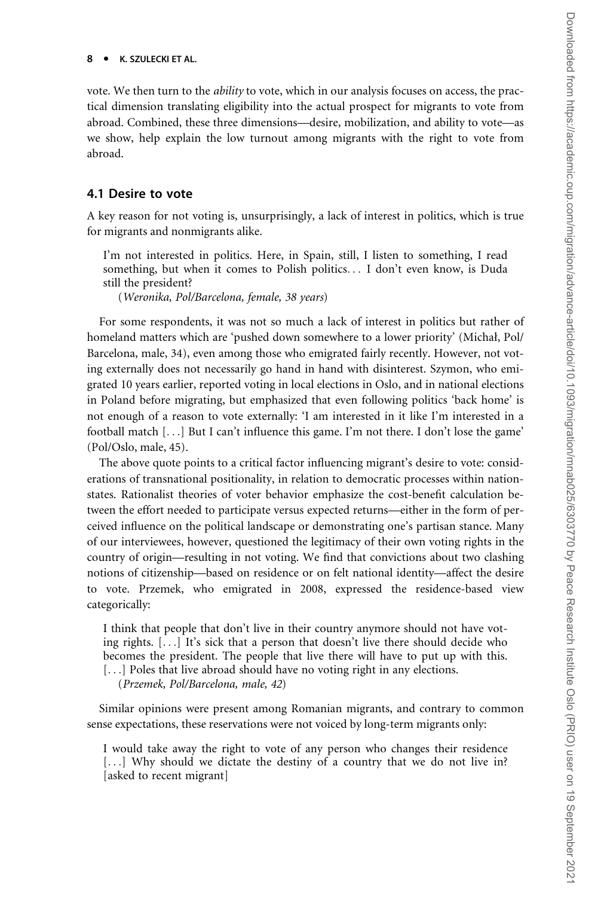vote. We then turn to the ability to vote, which in our analysis focuses on access, the practical dimension translating eligibility into the actual prospect for migrants to vote from abroad. Combined, these three dimensions—desire, mobilization, and ability to vote—as we show, help explain the low turnout among migrants with the right to vote from abroad.

#### 4.1 Desire to vote

A key reason for not voting is, unsurprisingly, a lack of interest in politics, which is true for migrants and nonmigrants alike.

I'm not interested in politics. Here, in Spain, still, I listen to something, I read something, but when it comes to Polish politics... I don't even know, is Duda still the president?

(Weronika, Pol/Barcelona, female, 38 years)

For some respondents, it was not so much a lack of interest in politics but rather of homeland matters which are 'pushed down somewhere to a lower priority' (Michał, Pol/ Barcelona, male, 34), even among those who emigrated fairly recently. However, not voting externally does not necessarily go hand in hand with disinterest. Szymon, who emigrated 10 years earlier, reported voting in local elections in Oslo, and in national elections in Poland before migrating, but emphasized that even following politics 'back home' is not enough of a reason to vote externally: 'I am interested in it like I'm interested in a football match [...] But I can't influence this game. I'm not there. I don't lose the game' (Pol/Oslo, male, 45).

The above quote points to a critical factor influencing migrant's desire to vote: considerations of transnational positionality, in relation to democratic processes within nationstates. Rationalist theories of voter behavior emphasize the cost-benefit calculation between the effort needed to participate versus expected returns—either in the form of perceived influence on the political landscape or demonstrating one's partisan stance. Many of our interviewees, however, questioned the legitimacy of their own voting rights in the country of origin—resulting in not voting. We find that convictions about two clashing notions of citizenship—based on residence or on felt national identity—affect the desire to vote. Przemek, who emigrated in 2008, expressed the residence-based view categorically:

I think that people that don't live in their country anymore should not have voting rights. [...] It's sick that a person that doesn't live there should decide who becomes the president. The people that live there will have to put up with this. [...] Poles that live abroad should have no voting right in any elections.

(Przemek, Pol/Barcelona, male, 42)

Similar opinions were present among Romanian migrants, and contrary to common sense expectations, these reservations were not voiced by long-term migrants only:

I would take away the right to vote of any person who changes their residence [...] Why should we dictate the destiny of a country that we do not live in? [asked to recent migrant]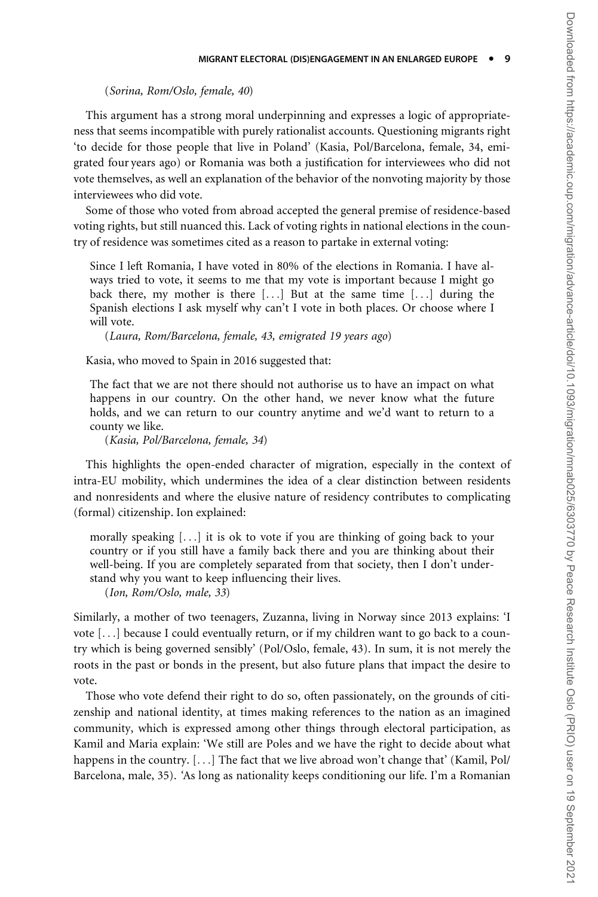(Sorina, Rom/Oslo, female, 40)

This argument has a strong moral underpinning and expresses a logic of appropriateness that seems incompatible with purely rationalist accounts. Questioning migrants right 'to decide for those people that live in Poland' (Kasia, Pol/Barcelona, female, 34, emigrated four years ago) or Romania was both a justification for interviewees who did not vote themselves, as well an explanation of the behavior of the nonvoting majority by those interviewees who did vote.

Some of those who voted from abroad accepted the general premise of residence-based voting rights, but still nuanced this. Lack of voting rights in national elections in the country of residence was sometimes cited as a reason to partake in external voting:

Since I left Romania, I have voted in 80% of the elections in Romania. I have always tried to vote, it seems to me that my vote is important because I might go back there, my mother is there [...] But at the same time [...] during the Spanish elections I ask myself why can't I vote in both places. Or choose where I will vote.

(Laura, Rom/Barcelona, female, 43, emigrated 19 years ago)

Kasia, who moved to Spain in 2016 suggested that:

The fact that we are not there should not authorise us to have an impact on what happens in our country. On the other hand, we never know what the future holds, and we can return to our country anytime and we'd want to return to a county we like.

(Kasia, Pol/Barcelona, female, 34)

This highlights the open-ended character of migration, especially in the context of intra-EU mobility, which undermines the idea of a clear distinction between residents and nonresidents and where the elusive nature of residency contributes to complicating (formal) citizenship. Ion explained:

morally speaking [...] it is ok to vote if you are thinking of going back to your country or if you still have a family back there and you are thinking about their well-being. If you are completely separated from that society, then I don't understand why you want to keep influencing their lives.

(Ion, Rom/Oslo, male, 33)

Similarly, a mother of two teenagers, Zuzanna, living in Norway since 2013 explains: 'I vote [...] because I could eventually return, or if my children want to go back to a country which is being governed sensibly' (Pol/Oslo, female, 43). In sum, it is not merely the roots in the past or bonds in the present, but also future plans that impact the desire to vote.

Those who vote defend their right to do so, often passionately, on the grounds of citizenship and national identity, at times making references to the nation as an imagined community, which is expressed among other things through electoral participation, as Kamil and Maria explain: 'We still are Poles and we have the right to decide about what happens in the country. [...] The fact that we live abroad won't change that' (Kamil, Pol/ Barcelona, male, 35). 'As long as nationality keeps conditioning our life. I'm a Romanian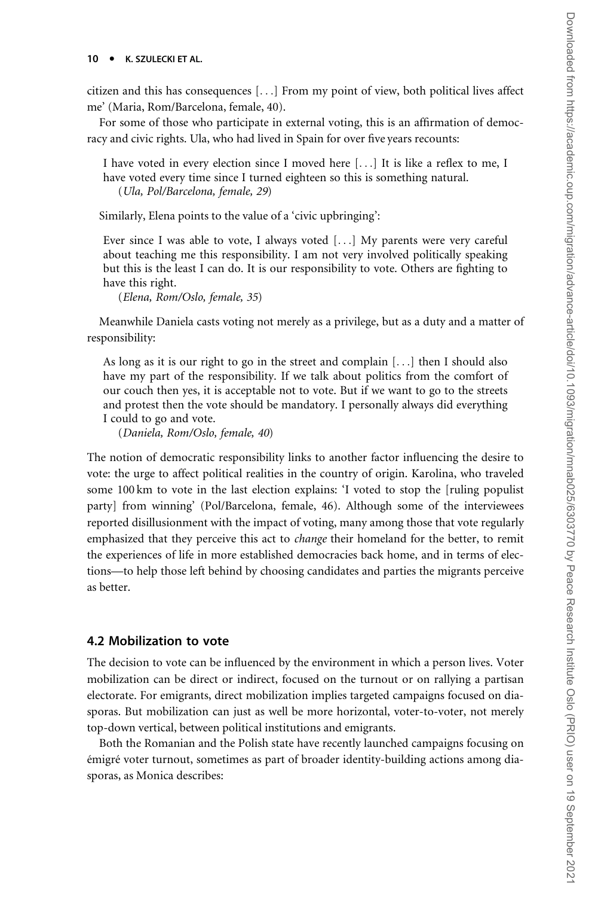citizen and this has consequences [...] From my point of view, both political lives affect me' (Maria, Rom/Barcelona, female, 40).

For some of those who participate in external voting, this is an affirmation of democracy and civic rights. Ula, who had lived in Spain for over five years recounts:

I have voted in every election since I moved here [...] It is like a reflex to me, I have voted every time since I turned eighteen so this is something natural. (Ula, Pol/Barcelona, female, 29)

Similarly, Elena points to the value of a 'civic upbringing':

Ever since I was able to vote, I always voted [...] My parents were very careful about teaching me this responsibility. I am not very involved politically speaking but this is the least I can do. It is our responsibility to vote. Others are fighting to have this right.

(Elena, Rom/Oslo, female, 35)

Meanwhile Daniela casts voting not merely as a privilege, but as a duty and a matter of responsibility:

As long as it is our right to go in the street and complain [...] then I should also have my part of the responsibility. If we talk about politics from the comfort of our couch then yes, it is acceptable not to vote. But if we want to go to the streets and protest then the vote should be mandatory. I personally always did everything I could to go and vote.

(Daniela, Rom/Oslo, female, 40)

The notion of democratic responsibility links to another factor influencing the desire to vote: the urge to affect political realities in the country of origin. Karolina, who traveled some 100 km to vote in the last election explains: 'I voted to stop the [ruling populist party] from winning' (Pol/Barcelona, female, 46). Although some of the interviewees reported disillusionment with the impact of voting, many among those that vote regularly emphasized that they perceive this act to *change* their homeland for the better, to remit the experiences of life in more established democracies back home, and in terms of elections—to help those left behind by choosing candidates and parties the migrants perceive as better.

#### 4.2 Mobilization to vote

The decision to vote can be influenced by the environment in which a person lives. Voter mobilization can be direct or indirect, focused on the turnout or on rallying a partisan electorate. For emigrants, direct mobilization implies targeted campaigns focused on diasporas. But mobilization can just as well be more horizontal, voter-to-voter, not merely top-down vertical, between political institutions and emigrants.

Both the Romanian and the Polish state have recently launched campaigns focusing on émigré voter turnout, sometimes as part of broader identity-building actions among diasporas, as Monica describes: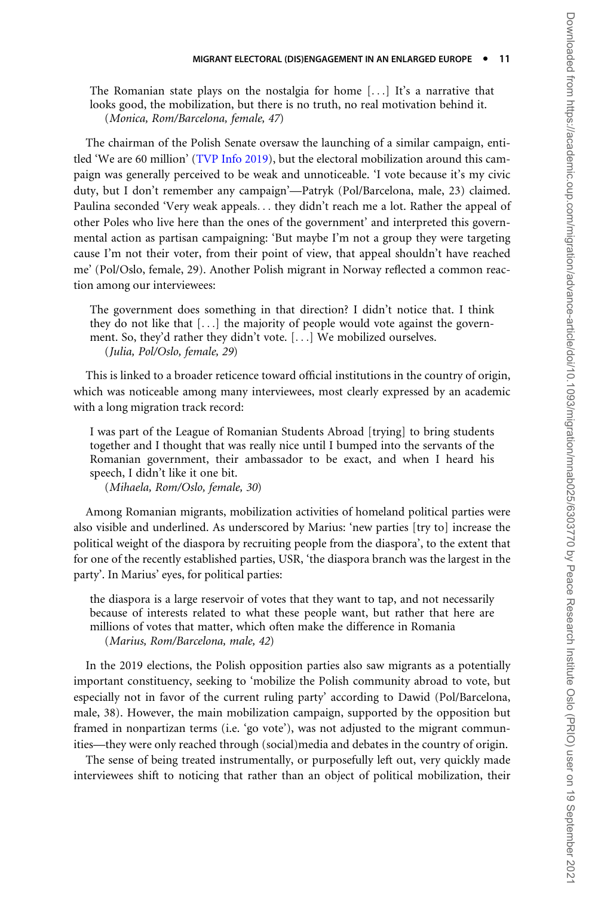The Romanian state plays on the nostalgia for home [...] It's a narrative that looks good, the mobilization, but there is no truth, no real motivation behind it. (Monica, Rom/Barcelona, female, 47)

The chairman of the Polish Senate oversaw the launching of a similar campaign, entitled 'We are 60 million' [\(TVP Info 2019\)](#page-21-0), but the electoral mobilization around this campaign was generally perceived to be weak and unnoticeable. 'I vote because it's my civic duty, but I don't remember any campaign'—Patryk (Pol/Barcelona, male, 23) claimed. Paulina seconded 'Very weak appeals... they didn't reach me a lot. Rather the appeal of other Poles who live here than the ones of the government' and interpreted this governmental action as partisan campaigning: 'But maybe I'm not a group they were targeting cause I'm not their voter, from their point of view, that appeal shouldn't have reached me' (Pol/Oslo, female, 29). Another Polish migrant in Norway reflected a common reaction among our interviewees:

The government does something in that direction? I didn't notice that. I think they do not like that [...] the majority of people would vote against the government. So, they'd rather they didn't vote. [...] We mobilized ourselves. (Julia, Pol/Oslo, female, 29)

This is linked to a broader reticence toward official institutions in the country of origin, which was noticeable among many interviewees, most clearly expressed by an academic with a long migration track record:

I was part of the League of Romanian Students Abroad [trying] to bring students together and I thought that was really nice until I bumped into the servants of the Romanian government, their ambassador to be exact, and when I heard his speech, I didn't like it one bit.

(Mihaela, Rom/Oslo, female, 30)

Among Romanian migrants, mobilization activities of homeland political parties were also visible and underlined. As underscored by Marius: 'new parties [try to] increase the political weight of the diaspora by recruiting people from the diaspora', to the extent that for one of the recently established parties, USR, 'the diaspora branch was the largest in the party'. In Marius' eyes, for political parties:

the diaspora is a large reservoir of votes that they want to tap, and not necessarily because of interests related to what these people want, but rather that here are millions of votes that matter, which often make the difference in Romania (Marius, Rom/Barcelona, male, 42)

In the 2019 elections, the Polish opposition parties also saw migrants as a potentially important constituency, seeking to 'mobilize the Polish community abroad to vote, but especially not in favor of the current ruling party' according to Dawid (Pol/Barcelona, male, 38). However, the main mobilization campaign, supported by the opposition but framed in nonpartizan terms (i.e. 'go vote'), was not adjusted to the migrant communities—they were only reached through (social)media and debates in the country of origin.

The sense of being treated instrumentally, or purposefully left out, very quickly made interviewees shift to noticing that rather than an object of political mobilization, their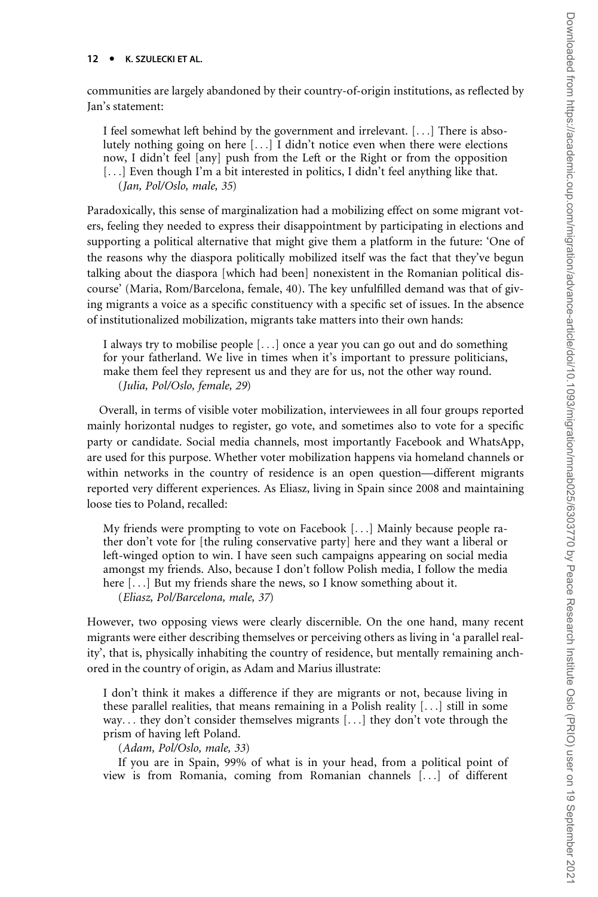communities are largely abandoned by their country-of-origin institutions, as reflected by Jan's statement:

I feel somewhat left behind by the government and irrelevant. [...] There is absolutely nothing going on here [...] I didn't notice even when there were elections now, I didn't feel [any] push from the Left or the Right or from the opposition [...] Even though I'm a bit interested in politics, I didn't feel anything like that. (Jan, Pol/Oslo, male, 35)

Paradoxically, this sense of marginalization had a mobilizing effect on some migrant voters, feeling they needed to express their disappointment by participating in elections and supporting a political alternative that might give them a platform in the future: 'One of the reasons why the diaspora politically mobilized itself was the fact that they've begun talking about the diaspora [which had been] nonexistent in the Romanian political discourse' (Maria, Rom/Barcelona, female, 40). The key unfulfilled demand was that of giving migrants a voice as a specific constituency with a specific set of issues. In the absence of institutionalized mobilization, migrants take matters into their own hands:

I always try to mobilise people [...] once a year you can go out and do something for your fatherland. We live in times when it's important to pressure politicians, make them feel they represent us and they are for us, not the other way round. (Julia, Pol/Oslo, female, 29)

Overall, in terms of visible voter mobilization, interviewees in all four groups reported mainly horizontal nudges to register, go vote, and sometimes also to vote for a specific party or candidate. Social media channels, most importantly Facebook and WhatsApp, are used for this purpose. Whether voter mobilization happens via homeland channels or within networks in the country of residence is an open question—different migrants reported very different experiences. As Eliasz, living in Spain since 2008 and maintaining loose ties to Poland, recalled:

My friends were prompting to vote on Facebook [...] Mainly because people rather don't vote for [the ruling conservative party] here and they want a liberal or left-winged option to win. I have seen such campaigns appearing on social media amongst my friends. Also, because I don't follow Polish media, I follow the media here [...] But my friends share the news, so I know something about it.

(Eliasz, Pol/Barcelona, male, 37)

However, two opposing views were clearly discernible. On the one hand, many recent migrants were either describing themselves or perceiving others as living in 'a parallel reality', that is, physically inhabiting the country of residence, but mentally remaining anchored in the country of origin, as Adam and Marius illustrate:

I don't think it makes a difference if they are migrants or not, because living in these parallel realities, that means remaining in a Polish reality  $[\ldots]$  still in some way... they don't consider themselves migrants [...] they don't vote through the prism of having left Poland.

(Adam, Pol/Oslo, male, 33)

If you are in Spain, 99% of what is in your head, from a political point of view is from Romania, coming from Romanian channels [...] of different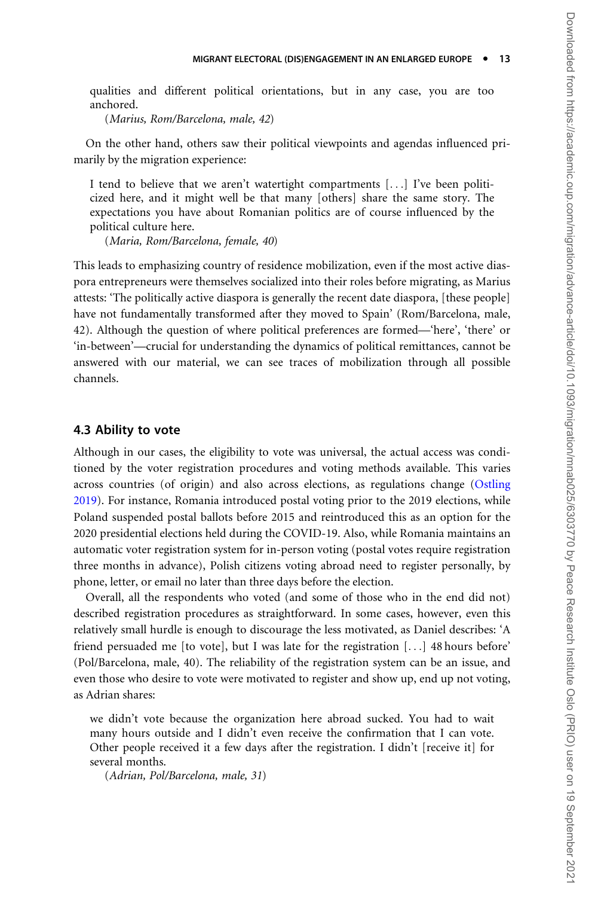qualities and different political orientations, but in any case, you are too anchored.

(Marius, Rom/Barcelona, male, 42)

On the other hand, others saw their political viewpoints and agendas influenced primarily by the migration experience:

I tend to believe that we aren't watertight compartments [...] I've been politicized here, and it might well be that many [others] share the same story. The expectations you have about Romanian politics are of course influenced by the political culture here.

(Maria, Rom/Barcelona, female, 40)

This leads to emphasizing country of residence mobilization, even if the most active diaspora entrepreneurs were themselves socialized into their roles before migrating, as Marius attests: 'The politically active diaspora is generally the recent date diaspora, [these people] have not fundamentally transformed after they moved to Spain' (Rom/Barcelona, male, 42). Although the question of where political preferences are formed—'here', 'there' or 'in-between'—crucial for understanding the dynamics of political remittances, cannot be answered with our material, we can see traces of mobilization through all possible channels.

#### 4.3 Ability to vote

Although in our cases, the eligibility to vote was universal, the actual access was conditioned by the voter registration procedures and voting methods available. This varies across countries (of origin) and also across elections, as regulations change [\(Ostling](#page-21-0) [2019\)](#page-21-0). For instance, Romania introduced postal voting prior to the 2019 elections, while Poland suspended postal ballots before 2015 and reintroduced this as an option for the 2020 presidential elections held during the COVID-19. Also, while Romania maintains an automatic voter registration system for in-person voting (postal votes require registration three months in advance), Polish citizens voting abroad need to register personally, by phone, letter, or email no later than three days before the election.

Overall, all the respondents who voted (and some of those who in the end did not) described registration procedures as straightforward. In some cases, however, even this relatively small hurdle is enough to discourage the less motivated, as Daniel describes: 'A friend persuaded me [to vote], but I was late for the registration [...] 48 hours before' (Pol/Barcelona, male, 40). The reliability of the registration system can be an issue, and even those who desire to vote were motivated to register and show up, end up not voting, as Adrian shares:

we didn't vote because the organization here abroad sucked. You had to wait many hours outside and I didn't even receive the confirmation that I can vote. Other people received it a few days after the registration. I didn't [receive it] for several months.

(Adrian, Pol/Barcelona, male, 31)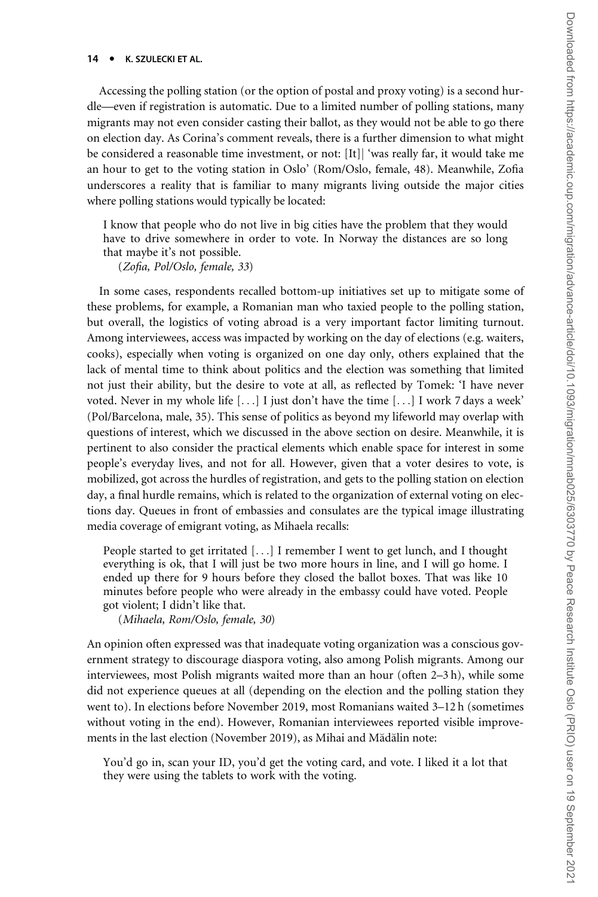Accessing the polling station (or the option of postal and proxy voting) is a second hurdle—even if registration is automatic. Due to a limited number of polling stations, many migrants may not even consider casting their ballot, as they would not be able to go there on election day. As Corina's comment reveals, there is a further dimension to what might be considered a reasonable time investment, or not: [It]] 'was really far, it would take me an hour to get to the voting station in Oslo' (Rom/Oslo, female, 48). Meanwhile, Zofia underscores a reality that is familiar to many migrants living outside the major cities where polling stations would typically be located:

I know that people who do not live in big cities have the problem that they would have to drive somewhere in order to vote. In Norway the distances are so long that maybe it's not possible.

(Zofia, Pol/Oslo, female, 33)

In some cases, respondents recalled bottom-up initiatives set up to mitigate some of these problems, for example, a Romanian man who taxied people to the polling station, but overall, the logistics of voting abroad is a very important factor limiting turnout. Among interviewees, access was impacted by working on the day of elections (e.g. waiters, cooks), especially when voting is organized on one day only, others explained that the lack of mental time to think about politics and the election was something that limited not just their ability, but the desire to vote at all, as reflected by Tomek: 'I have never voted. Never in my whole life  $[\ldots]$  I just don't have the time  $[\ldots]$  I work 7 days a week' (Pol/Barcelona, male, 35). This sense of politics as beyond my lifeworld may overlap with questions of interest, which we discussed in the above section on desire. Meanwhile, it is pertinent to also consider the practical elements which enable space for interest in some people's everyday lives, and not for all. However, given that a voter desires to vote, is mobilized, got across the hurdles of registration, and gets to the polling station on election day, a final hurdle remains, which is related to the organization of external voting on elections day. Queues in front of embassies and consulates are the typical image illustrating media coverage of emigrant voting, as Mihaela recalls:

People started to get irritated [...] I remember I went to get lunch, and I thought everything is ok, that I will just be two more hours in line, and I will go home. I ended up there for 9 hours before they closed the ballot boxes. That was like 10 minutes before people who were already in the embassy could have voted. People got violent; I didn't like that.

(Mihaela, Rom/Oslo, female, 30)

An opinion often expressed was that inadequate voting organization was a conscious government strategy to discourage diaspora voting, also among Polish migrants. Among our interviewees, most Polish migrants waited more than an hour (often 2–3 h), while some did not experience queues at all (depending on the election and the polling station they went to). In elections before November 2019, most Romanians waited 3–12 h (sometimes without voting in the end). However, Romanian interviewees reported visible improvements in the last election (November 2019), as Mihai and Mădălin note:

You'd go in, scan your ID, you'd get the voting card, and vote. I liked it a lot that they were using the tablets to work with the voting.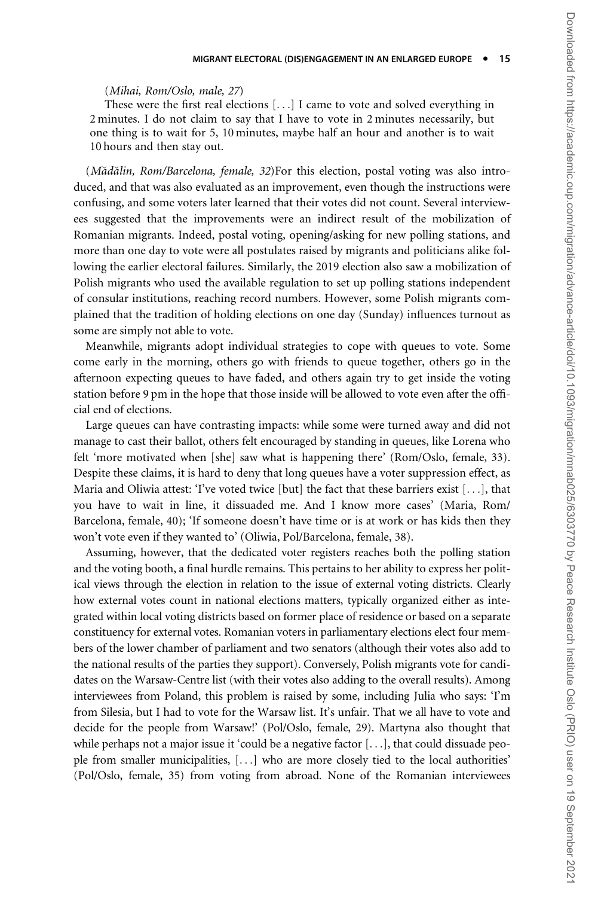#### (Mihai, Rom/Oslo, male, 27)

These were the first real elections [...] I came to vote and solved everything in 2 minutes. I do not claim to say that I have to vote in 2 minutes necessarily, but one thing is to wait for 5, 10 minutes, maybe half an hour and another is to wait 10 hours and then stay out.

(Mădălin, Rom/Barcelona, female, 32)For this election, postal voting was also introduced, and that was also evaluated as an improvement, even though the instructions were confusing, and some voters later learned that their votes did not count. Several interviewees suggested that the improvements were an indirect result of the mobilization of Romanian migrants. Indeed, postal voting, opening/asking for new polling stations, and more than one day to vote were all postulates raised by migrants and politicians alike following the earlier electoral failures. Similarly, the 2019 election also saw a mobilization of Polish migrants who used the available regulation to set up polling stations independent of consular institutions, reaching record numbers. However, some Polish migrants complained that the tradition of holding elections on one day (Sunday) influences turnout as some are simply not able to vote.

Meanwhile, migrants adopt individual strategies to cope with queues to vote. Some come early in the morning, others go with friends to queue together, others go in the afternoon expecting queues to have faded, and others again try to get inside the voting station before 9 pm in the hope that those inside will be allowed to vote even after the official end of elections.

Large queues can have contrasting impacts: while some were turned away and did not manage to cast their ballot, others felt encouraged by standing in queues, like Lorena who felt 'more motivated when [she] saw what is happening there' (Rom/Oslo, female, 33). Despite these claims, it is hard to deny that long queues have a voter suppression effect, as Maria and Oliwia attest: 'I've voted twice [but] the fact that these barriers exist [...], that you have to wait in line, it dissuaded me. And I know more cases' (Maria, Rom/ Barcelona, female, 40); 'If someone doesn't have time or is at work or has kids then they won't vote even if they wanted to' (Oliwia, Pol/Barcelona, female, 38).

Assuming, however, that the dedicated voter registers reaches both the polling station and the voting booth, a final hurdle remains. This pertains to her ability to express her political views through the election in relation to the issue of external voting districts. Clearly how external votes count in national elections matters, typically organized either as integrated within local voting districts based on former place of residence or based on a separate constituency for external votes. Romanian voters in parliamentary elections elect four members of the lower chamber of parliament and two senators (although their votes also add to the national results of the parties they support). Conversely, Polish migrants vote for candidates on the Warsaw-Centre list (with their votes also adding to the overall results). Among interviewees from Poland, this problem is raised by some, including Julia who says: 'I'm from Silesia, but I had to vote for the Warsaw list. It's unfair. That we all have to vote and decide for the people from Warsaw!' (Pol/Oslo, female, 29). Martyna also thought that while perhaps not a major issue it 'could be a negative factor [...], that could dissuade people from smaller municipalities, [...] who are more closely tied to the local authorities' (Pol/Oslo, female, 35) from voting from abroad. None of the Romanian interviewees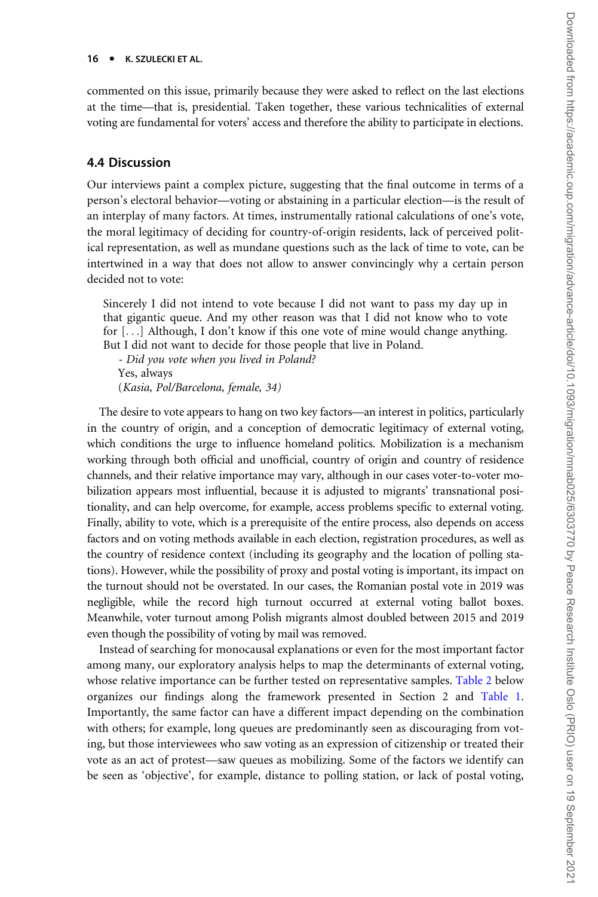commented on this issue, primarily because they were asked to reflect on the last elections at the time—that is, presidential. Taken together, these various technicalities of external voting are fundamental for voters' access and therefore the ability to participate in elections.

#### 4.4 Discussion

Our interviews paint a complex picture, suggesting that the final outcome in terms of a person's electoral behavior—voting or abstaining in a particular election—is the result of an interplay of many factors. At times, instrumentally rational calculations of one's vote, the moral legitimacy of deciding for country-of-origin residents, lack of perceived political representation, as well as mundane questions such as the lack of time to vote, can be intertwined in a way that does not allow to answer convincingly why a certain person decided not to vote:

Sincerely I did not intend to vote because I did not want to pass my day up in that gigantic queue. And my other reason was that I did not know who to vote for [...] Although, I don't know if this one vote of mine would change anything. But I did not want to decide for those people that live in Poland.

- Did you vote when you lived in Poland? Yes, always (Kasia, Pol/Barcelona, female, 34)

The desire to vote appears to hang on two key factors—an interest in politics, particularly in the country of origin, and a conception of democratic legitimacy of external voting, which conditions the urge to influence homeland politics. Mobilization is a mechanism working through both official and unofficial, country of origin and country of residence channels, and their relative importance may vary, although in our cases voter-to-voter mobilization appears most influential, because it is adjusted to migrants' transnational positionality, and can help overcome, for example, access problems specific to external voting. Finally, ability to vote, which is a prerequisite of the entire process, also depends on access factors and on voting methods available in each election, registration procedures, as well as the country of residence context (including its geography and the location of polling stations). However, while the possibility of proxy and postal voting is important, its impact on the turnout should not be overstated. In our cases, the Romanian postal vote in 2019 was negligible, while the record high turnout occurred at external voting ballot boxes. Meanwhile, voter turnout among Polish migrants almost doubled between 2015 and 2019 even though the possibility of voting by mail was removed.

Instead of searching for monocausal explanations or even for the most important factor among many, our exploratory analysis helps to map the determinants of external voting, whose relative importance can be further tested on representative samples. [Table 2](#page-16-0) below organizes our findings along the framework presented in Section 2 and [Table 1.](#page-5-0) Importantly, the same factor can have a different impact depending on the combination with others; for example, long queues are predominantly seen as discouraging from voting, but those interviewees who saw voting as an expression of citizenship or treated their vote as an act of protest—saw queues as mobilizing. Some of the factors we identify can be seen as 'objective', for example, distance to polling station, or lack of postal voting,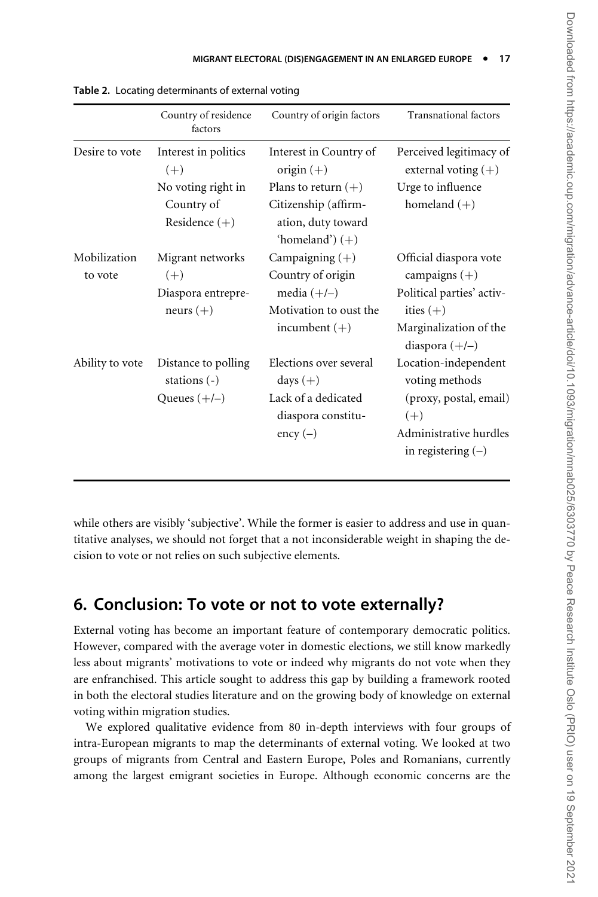|                         | Country of residence<br>factors       | Country of origin factors                                       | <b>Transnational factors</b>                                                           |
|-------------------------|---------------------------------------|-----------------------------------------------------------------|----------------------------------------------------------------------------------------|
| Desire to vote          | Interest in politics<br>$(+)$         | Interest in Country of<br>origin $(+)$                          | Perceived legitimacy of<br>external voting $(+)$                                       |
|                         | No voting right in                    | Plans to return $(+)$                                           | Urge to influence                                                                      |
|                         | Country of<br>Residence $(+)$         | Citizenship (affirm-<br>ation, duty toward<br>'homeland') $(+)$ | homeland $(+)$                                                                         |
| Mobilization<br>to vote | Migrant networks<br>$(+)$             | Campaigning $(+)$<br>Country of origin                          | Official diaspora vote<br>campaigns $(+)$                                              |
|                         | Diaspora entrepre-<br>neurs $(+)$     | media $(+/-)$<br>Motivation to oust the<br>incumbent $(+)$      | Political parties' activ-<br>ities $(+)$<br>Marginalization of the<br>diaspora $(+/-)$ |
| Ability to vote         | Distance to polling<br>stations $(-)$ | Elections over several<br>days $(+)$                            | Location-independent<br>voting methods                                                 |
|                         | Queues $(+/-)$                        | Lack of a dedicated<br>diaspora constitu-<br>$\text{ency}(-)$   | (proxy, postal, email)<br>$(+)$<br>Administrative hurdles<br>in registering $(-)$      |

<span id="page-16-0"></span>Table 2. Locating determinants of external voting

while others are visibly 'subjective'. While the former is easier to address and use in quantitative analyses, we should not forget that a not inconsiderable weight in shaping the decision to vote or not relies on such subjective elements.

## 6. Conclusion: To vote or not to vote externally?

External voting has become an important feature of contemporary democratic politics. However, compared with the average voter in domestic elections, we still know markedly less about migrants' motivations to vote or indeed why migrants do not vote when they are enfranchised. This article sought to address this gap by building a framework rooted in both the electoral studies literature and on the growing body of knowledge on external voting within migration studies.

We explored qualitative evidence from 80 in-depth interviews with four groups of intra-European migrants to map the determinants of external voting. We looked at two groups of migrants from Central and Eastern Europe, Poles and Romanians, currently among the largest emigrant societies in Europe. Although economic concerns are the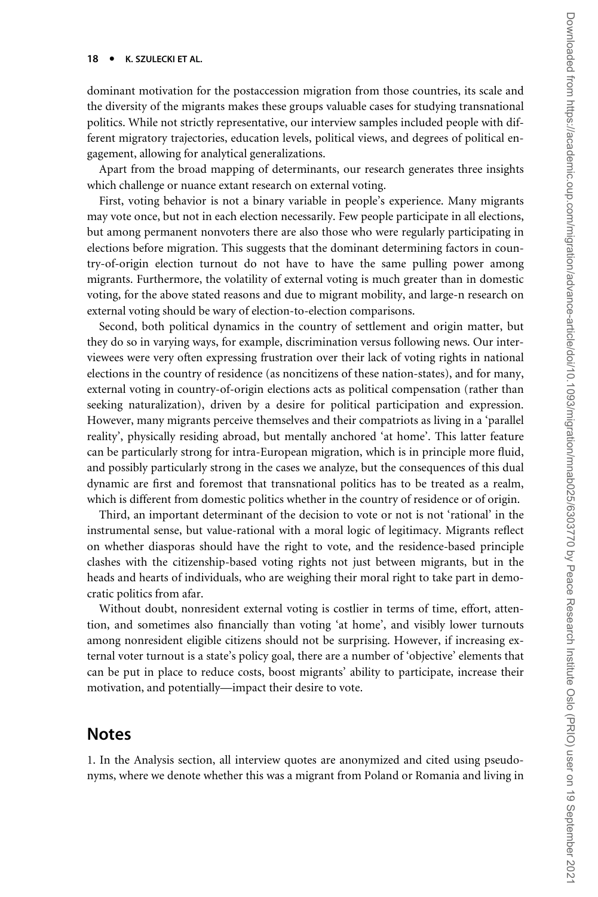dominant motivation for the postaccession migration from those countries, its scale and the diversity of the migrants makes these groups valuable cases for studying transnational politics. While not strictly representative, our interview samples included people with different migratory trajectories, education levels, political views, and degrees of political engagement, allowing for analytical generalizations.

Apart from the broad mapping of determinants, our research generates three insights which challenge or nuance extant research on external voting.

First, voting behavior is not a binary variable in people's experience. Many migrants may vote once, but not in each election necessarily. Few people participate in all elections, but among permanent nonvoters there are also those who were regularly participating in elections before migration. This suggests that the dominant determining factors in country-of-origin election turnout do not have to have the same pulling power among migrants. Furthermore, the volatility of external voting is much greater than in domestic voting, for the above stated reasons and due to migrant mobility, and large-n research on external voting should be wary of election-to-election comparisons.

Second, both political dynamics in the country of settlement and origin matter, but they do so in varying ways, for example, discrimination versus following news. Our interviewees were very often expressing frustration over their lack of voting rights in national elections in the country of residence (as noncitizens of these nation-states), and for many, external voting in country-of-origin elections acts as political compensation (rather than seeking naturalization), driven by a desire for political participation and expression. However, many migrants perceive themselves and their compatriots as living in a 'parallel reality', physically residing abroad, but mentally anchored 'at home'. This latter feature can be particularly strong for intra-European migration, which is in principle more fluid, and possibly particularly strong in the cases we analyze, but the consequences of this dual dynamic are first and foremost that transnational politics has to be treated as a realm, which is different from domestic politics whether in the country of residence or of origin.

Third, an important determinant of the decision to vote or not is not 'rational' in the instrumental sense, but value-rational with a moral logic of legitimacy. Migrants reflect on whether diasporas should have the right to vote, and the residence-based principle clashes with the citizenship-based voting rights not just between migrants, but in the heads and hearts of individuals, who are weighing their moral right to take part in democratic politics from afar.

Without doubt, nonresident external voting is costlier in terms of time, effort, attention, and sometimes also financially than voting 'at home', and visibly lower turnouts among nonresident eligible citizens should not be surprising. However, if increasing external voter turnout is a state's policy goal, there are a number of 'objective' elements that can be put in place to reduce costs, boost migrants' ability to participate, increase their motivation, and potentially—impact their desire to vote.

### Notes

1. In the Analysis section, all interview quotes are anonymized and cited using pseudonyms, where we denote whether this was a migrant from Poland or Romania and living in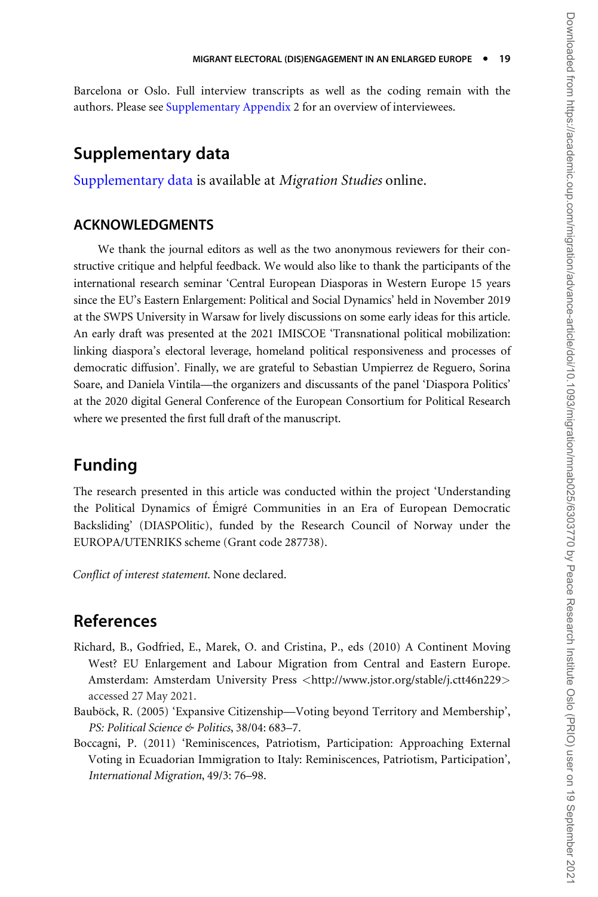<span id="page-18-0"></span>Barcelona or Oslo. Full interview transcripts as well as the coding remain with the authors. Please see [Supplementary Appendix](https://academic.oup.com/migration/article-lookup/doi/10.1093/migration/mnab025#supplementary-data) 2 for an overview of interviewees.

### Supplementary data

[Supplementary data](https://academic.oup.com/migration/article-lookup/doi/10.1093/migration/mnab025#supplementary-data) is available at Migration Studies online.

### ACKNOWLEDGMENTS

We thank the journal editors as well as the two anonymous reviewers for their constructive critique and helpful feedback. We would also like to thank the participants of the international research seminar 'Central European Diasporas in Western Europe 15 years since the EU's Eastern Enlargement: Political and Social Dynamics' held in November 2019 at the SWPS University in Warsaw for lively discussions on some early ideas for this article. An early draft was presented at the 2021 IMISCOE 'Transnational political mobilization: linking diaspora's electoral leverage, homeland political responsiveness and processes of democratic diffusion'. Finally, we are grateful to Sebastian Umpierrez de Reguero, Sorina Soare, and Daniela Vintila—the organizers and discussants of the panel 'Diaspora Politics' at the 2020 digital General Conference of the European Consortium for Political Research where we presented the first full draft of the manuscript.

## Funding

The research presented in this article was conducted within the project 'Understanding the Political Dynamics of Emigré Communities in an Era of European Democratic Backsliding' (DIASPOlitic), funded by the Research Council of Norway under the EUROPA/UTENRIKS scheme (Grant code 287738).

Conflict of interest statement. None declared.

## References

- Richard, B., Godfried, E., Marek, O. and Cristina, P., eds (2010) A Continent Moving West? EU Enlargement and Labour Migration from Central and Eastern Europe. Amsterdam: Amsterdam University Press <<http://www.jstor.org/stable/j.ctt46n229>> accessed 27 May 2021.
- Bauböck, R. (2005) 'Expansive Citizenship—Voting beyond Territory and Membership', PS: Political Science & Politics, 38/04: 683–7.
- Boccagni, P. (2011) 'Reminiscences, Patriotism, Participation: Approaching External Voting in Ecuadorian Immigration to Italy: Reminiscences, Patriotism, Participation', International Migration, 49/3: 76–98.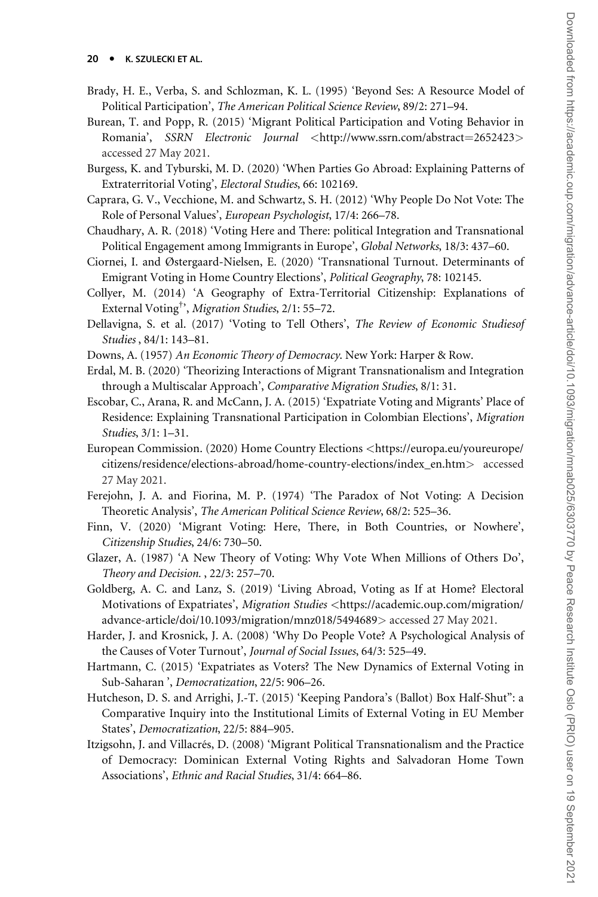- <span id="page-19-0"></span>Brady, H. E., Verba, S. and Schlozman, K. L. (1995) 'Beyond Ses: A Resource Model of Political Participation', The American Political Science Review, 89/2: 271–94.
- Burean, T. and Popp, R. (2015) 'Migrant Political Participation and Voting Behavior in Romania', SSRN Electronic Journal <[http://www.ssrn.com/abstract](http://www.ssrn.com/abstract=2652423)=[2652423](http://www.ssrn.com/abstract=2652423)> accessed 27 May 2021.
- Burgess, K. and Tyburski, M. D. (2020) 'When Parties Go Abroad: Explaining Patterns of Extraterritorial Voting', Electoral Studies, 66: 102169.
- Caprara, G. V., Vecchione, M. and Schwartz, S. H. (2012) 'Why People Do Not Vote: The Role of Personal Values', European Psychologist, 17/4: 266–78.
- Chaudhary, A. R. (2018) 'Voting Here and There: political Integration and Transnational Political Engagement among Immigrants in Europe', Global Networks, 18/3: 437–60.
- Ciornei, I. and Østergaard-Nielsen, E. (2020) 'Transnational Turnout. Determinants of Emigrant Voting in Home Country Elections', Political Geography, 78: 102145.
- Collyer, M. (2014) 'A Geography of Extra-Territorial Citizenship: Explanations of External Voting<sup>†</sup>, Migration Studies, 2/1: 55-72.
- Dellavigna, S. et al. (2017) 'Voting to Tell Others', The Review of Economic Studiesof Studies , 84/1: 143–81.
- Downs, A. (1957) An Economic Theory of Democracy. New York: Harper & Row.
- Erdal, M. B. (2020) 'Theorizing Interactions of Migrant Transnationalism and Integration through a Multiscalar Approach', Comparative Migration Studies, 8/1: 31.
- Escobar, C., Arana, R. and McCann, J. A. (2015) 'Expatriate Voting and Migrants' Place of Residence: Explaining Transnational Participation in Colombian Elections', Migration Studies, 3/1: 1–31.
- European Commission. (2020) Home Country Elections <[https://europa.eu/youreurope/](https://europa.eu/youreurope/citizens/residence/elections-abroad/home-country-elections/index_en.htm) [citizens/residence/elections-abroad/home-country-elections/index\\_en.htm](https://europa.eu/youreurope/citizens/residence/elections-abroad/home-country-elections/index_en.htm)> accessed 27 May 2021.
- Ferejohn, J. A. and Fiorina, M. P. (1974) 'The Paradox of Not Voting: A Decision Theoretic Analysis', The American Political Science Review, 68/2: 525–36.
- Finn, V. (2020) 'Migrant Voting: Here, There, in Both Countries, or Nowhere', Citizenship Studies, 24/6: 730–50.
- Glazer, A. (1987) 'A New Theory of Voting: Why Vote When Millions of Others Do', Theory and Decision. , 22/3: 257–70.
- Goldberg, A. C. and Lanz, S. (2019) 'Living Abroad, Voting as If at Home? Electoral Motivations of Expatriates', Migration Studies <[https://academic.oup.com/migration/](https://academic.oup.com/migration/advance-article/doi/10.1093/migration/mnz018/5494689) [advance-article/doi/10.1093/migration/mnz018/5494689](https://academic.oup.com/migration/advance-article/doi/10.1093/migration/mnz018/5494689)> accessed 27 May 2021.
- Harder, J. and Krosnick, J. A. (2008) 'Why Do People Vote? A Psychological Analysis of the Causes of Voter Turnout', Journal of Social Issues, 64/3: 525–49.
- Hartmann, C. (2015) 'Expatriates as Voters? The New Dynamics of External Voting in Sub-Saharan ', Democratization, 22/5: 906–26.
- Hutcheson, D. S. and Arrighi, J.-T. (2015) 'Keeping Pandora's (Ballot) Box Half-Shut": a Comparative Inquiry into the Institutional Limits of External Voting in EU Member States', Democratization, 22/5: 884–905.
- Itzigsohn, J. and Villacrés, D. (2008) 'Migrant Political Transnationalism and the Practice of Democracy: Dominican External Voting Rights and Salvadoran Home Town Associations', Ethnic and Racial Studies, 31/4: 664–86.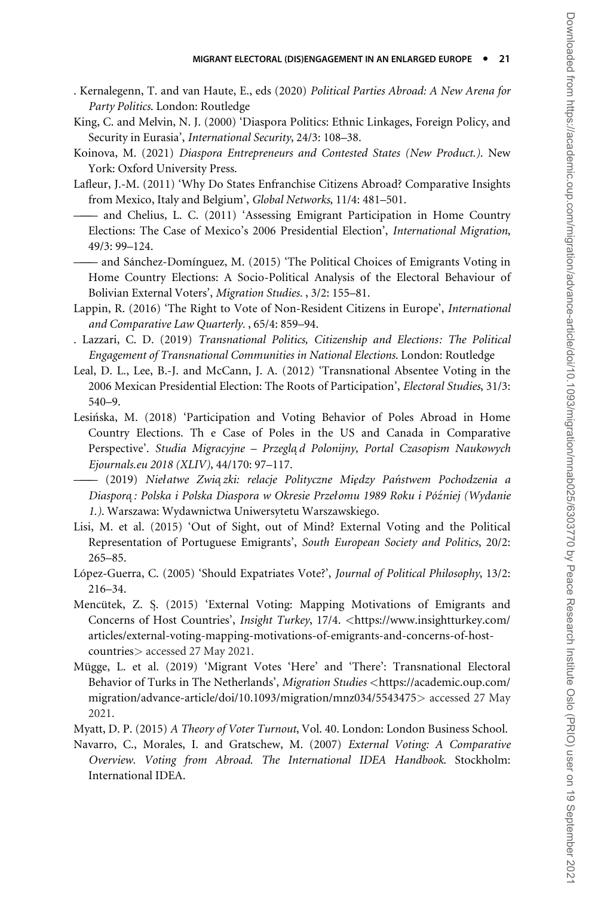- <span id="page-20-0"></span>. Kernalegenn, T. and van Haute, E., eds (2020) Political Parties Abroad: A New Arena for Party Politics. London: Routledge
- King, C. and Melvin, N. J. (2000) 'Diaspora Politics: Ethnic Linkages, Foreign Policy, and Security in Eurasia', International Security, 24/3: 108–38.
- Koinova, M. (2021) Diaspora Entrepreneurs and Contested States (New Product.). New York: Oxford University Press.
- Lafleur, J.-M. (2011) 'Why Do States Enfranchise Citizens Abroad? Comparative Insights from Mexico, Italy and Belgium', Global Networks, 11/4: 481–501.
- ——— and Chelius, L. C. (2011) 'Assessing Emigrant Participation in Home Country Elections: The Case of Mexico's 2006 Presidential Election', International Migration, 49/3: 99–124.
- and Sánchez-Domínguez, M. (2015) 'The Political Choices of Emigrants Voting in Home Country Elections: A Socio-Political Analysis of the Electoral Behaviour of Bolivian External Voters', Migration Studies. , 3/2: 155–81.
- Lappin, R. (2016) 'The Right to Vote of Non-Resident Citizens in Europe', International and Comparative Law Quarterly. , 65/4: 859–94.
- . Lazzari, C. D. (2019) Transnational Politics, Citizenship and Elections: The Political Engagement of Transnational Communities in National Elections. London: Routledge
- Leal, D. L., Lee, B.-J. and McCann, J. A. (2012) 'Transnational Absentee Voting in the 2006 Mexican Presidential Election: The Roots of Participation', Electoral Studies, 31/3: 540–9.
- Lesinska, M. (2018) 'Participation and Voting Behavior of Poles Abroad in Home Country Elections. Th e Case of Poles in the US and Canada in Comparative Perspective'. Studia Migracyjne – Przeglą d Polonijny, Portal Czasopism Naukowych Ejournals.eu 2018 (XLIV), 44/170: 97–117.
- ——— (2019) Niełatwe Zwia˛zki: relacje Polityczne MieRdzy Panstwem Pochodzenia a Diaspora: Polska i Polska Diaspora w Okresie Przełomu 1989 Roku i Później (Wydanie 1.). Warszawa: Wydawnictwa Uniwersytetu Warszawskiego.
- Lisi, M. et al. (2015) 'Out of Sight, out of Mind? External Voting and the Political Representation of Portuguese Emigrants', South European Society and Politics, 20/2: 265–85.
- López-Guerra, C. (2005) 'Should Expatriates Vote?', Journal of Political Philosophy, 13/2: 216–34.
- Mencütek, Z. S. (2015) 'External Voting: Mapping Motivations of Emigrants and Concerns of Host Countries', Insight Turkey, 17/4. <[https://www.insightturkey.com/](https://www.insightturkey.com/articles/external-voting-mapping-motivations-of-emigrants-and-concerns-of-host-countries) [articles/external-voting-mapping-motivations-of-emigrants-and-concerns-of-host](https://www.insightturkey.com/articles/external-voting-mapping-motivations-of-emigrants-and-concerns-of-host-countries)[countries](https://www.insightturkey.com/articles/external-voting-mapping-motivations-of-emigrants-and-concerns-of-host-countries)> accessed 27 May 2021.
- Mügge, L. et al. (2019) 'Migrant Votes 'Here' and 'There': Transnational Electoral Behavior of Turks in The Netherlands', Migration Studies <[https://academic.oup.com/](https://academic.oup.com/migration/advance-article/doi/10.1093/migration/mnz034/5543475) [migration/advance-article/doi/10.1093/migration/mnz034/5543475](https://academic.oup.com/migration/advance-article/doi/10.1093/migration/mnz034/5543475)> accessed 27 May 2021.
- Myatt, D. P. (2015) A Theory of Voter Turnout, Vol. 40. London: London Business School.
- Navarro, C., Morales, I. and Gratschew, M. (2007) External Voting: A Comparative Overview. Voting from Abroad. The International IDEA Handbook. Stockholm: International IDEA.